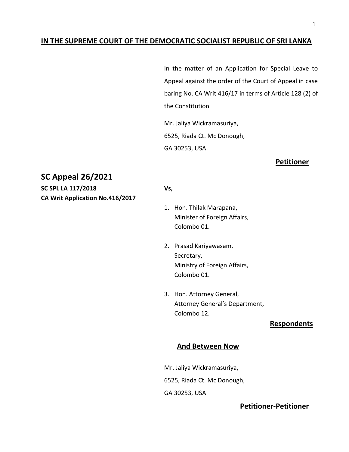### **IN THE SUPREME COURT OF THE DEMOCRATIC SOCIALIST REPUBLIC OF SRI LANKA**

In the matter of an Application for Special Leave to Appeal against the order of the Court of Appeal in case baring No. CA Writ 416/17 in terms of Article 128 (2) of the Constitution

Mr. Jaliya Wickramasuriya, 6525, Riada Ct. Mc Donough, GA 30253, USA

#### **Petitioner**

# **SC Appeal 26/2021**

**SC SPL LA 117/2018 Vs, CA Writ Application No.416/2017**

- 1. Hon. Thilak Marapana, Minister of Foreign Affairs, Colombo 01.
- 2. Prasad Kariyawasam, Secretary, Ministry of Foreign Affairs, Colombo 01.
- 3. Hon. Attorney General, Attorney General's Department, Colombo 12.

## **Respondents**

### **And Between Now**

Mr. Jaliya Wickramasuriya, 6525, Riada Ct. Mc Donough, GA 30253, USA

## **Petitioner-Petitioner**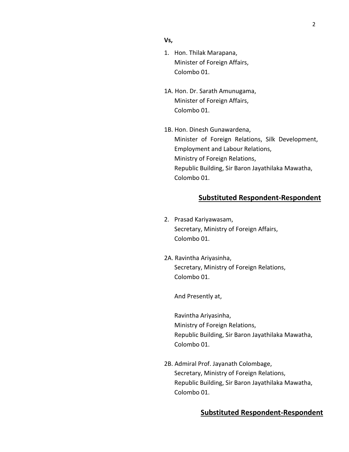### **Vs,**

- 1. Hon. Thilak Marapana, Minister of Foreign Affairs, Colombo 01.
- 1A. Hon. Dr. Sarath Amunugama, Minister of Foreign Affairs, Colombo 01.
- 1B. Hon. Dinesh Gunawardena, Minister of Foreign Relations, Silk Development, Employment and Labour Relations, Ministry of Foreign Relations, Republic Building, Sir Baron Jayathilaka Mawatha, Colombo 01.

### **Substituted Respondent-Respondent**

- 2. Prasad Kariyawasam, Secretary, Ministry of Foreign Affairs, Colombo 01.
- 2A. Ravintha Ariyasinha, Secretary, Ministry of Foreign Relations, Colombo 01.

And Presently at,

Ravintha Ariyasinha, Ministry of Foreign Relations, Republic Building, Sir Baron Jayathilaka Mawatha, Colombo 01.

2B. Admiral Prof. Jayanath Colombage, Secretary, Ministry of Foreign Relations, Republic Building, Sir Baron Jayathilaka Mawatha, Colombo 01.

#### **Substituted Respondent-Respondent**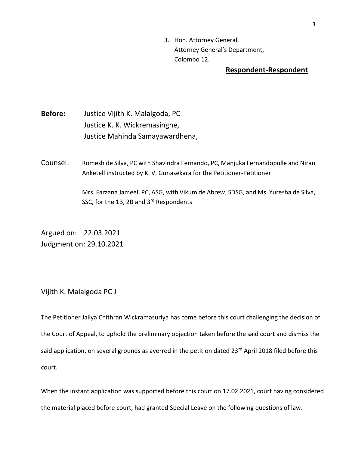3. Hon. Attorney General, Attorney General's Department, Colombo 12.

#### **Respondent-Respondent**

**Before:** Justice Vijith K. Malalgoda, PC Justice K. K. Wickremasinghe, Justice Mahinda Samayawardhena,

Counsel: Romesh de Silva, PC with Shavindra Fernando, PC, Manjuka Fernandopulle and Niran Anketell instructed by K. V. Gunasekara for the Petitioner-Petitioner

> Mrs. Farzana Jameel, PC, ASG, with Vikum de Abrew, SDSG, and Ms. Yuresha de Silva, SSC, for the 1B, 2B and 3rd Respondents

Argued on: 22.03.2021 Judgment on: 29.10.2021

Vijith K. Malalgoda PC J

The Petitioner Jaliya Chithran Wickramasuriya has come before this court challenging the decision of the Court of Appeal, to uphold the preliminary objection taken before the said court and dismiss the said application, on several grounds as averred in the petition dated 23<sup>rd</sup> April 2018 filed before this court.

When the instant application was supported before this court on 17.02.2021, court having considered the material placed before court, had granted Special Leave on the following questions of law.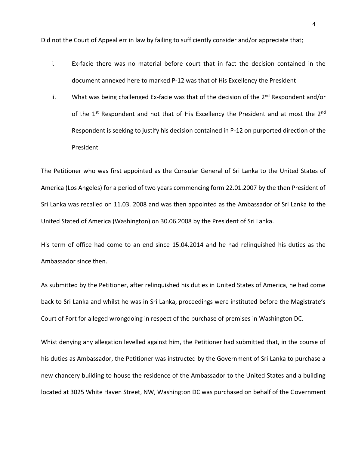Did not the Court of Appeal err in law by failing to sufficiently consider and/or appreciate that;

- i. Ex-facie there was no material before court that in fact the decision contained in the document annexed here to marked P-12 was that of His Excellency the President
- ii. What was being challenged Ex-facie was that of the decision of the 2<sup>nd</sup> Respondent and/or of the 1<sup>st</sup> Respondent and not that of His Excellency the President and at most the 2<sup>nd</sup> Respondent is seeking to justify his decision contained in P-12 on purported direction of the President

The Petitioner who was first appointed as the Consular General of Sri Lanka to the United States of America (Los Angeles) for a period of two years commencing form 22.01.2007 by the then President of Sri Lanka was recalled on 11.03. 2008 and was then appointed as the Ambassador of Sri Lanka to the United Stated of America (Washington) on 30.06.2008 by the President of Sri Lanka.

His term of office had come to an end since 15.04.2014 and he had relinquished his duties as the Ambassador since then.

As submitted by the Petitioner, after relinquished his duties in United States of America, he had come back to Sri Lanka and whilst he was in Sri Lanka, proceedings were instituted before the Magistrate's Court of Fort for alleged wrongdoing in respect of the purchase of premises in Washington DC.

Whist denying any allegation levelled against him, the Petitioner had submitted that, in the course of his duties as Ambassador, the Petitioner was instructed by the Government of Sri Lanka to purchase a new chancery building to house the residence of the Ambassador to the United States and a building located at 3025 White Haven Street, NW, Washington DC was purchased on behalf of the Government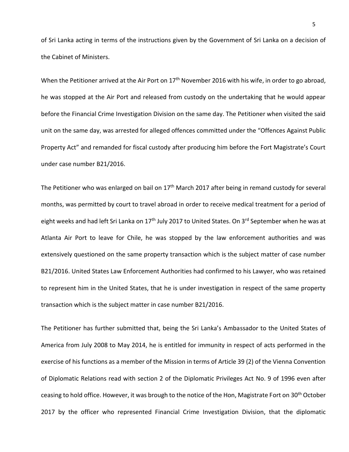of Sri Lanka acting in terms of the instructions given by the Government of Sri Lanka on a decision of the Cabinet of Ministers.

When the Petitioner arrived at the Air Port on 17<sup>th</sup> November 2016 with his wife, in order to go abroad, he was stopped at the Air Port and released from custody on the undertaking that he would appear before the Financial Crime Investigation Division on the same day. The Petitioner when visited the said unit on the same day, was arrested for alleged offences committed under the "Offences Against Public Property Act" and remanded for fiscal custody after producing him before the Fort Magistrate's Court under case number B21/2016.

The Petitioner who was enlarged on bail on 17<sup>th</sup> March 2017 after being in remand custody for several months, was permitted by court to travel abroad in order to receive medical treatment for a period of eight weeks and had left Sri Lanka on 17<sup>th</sup> July 2017 to United States. On 3<sup>rd</sup> September when he was at Atlanta Air Port to leave for Chile, he was stopped by the law enforcement authorities and was extensively questioned on the same property transaction which is the subject matter of case number B21/2016. United States Law Enforcement Authorities had confirmed to his Lawyer, who was retained to represent him in the United States, that he is under investigation in respect of the same property transaction which is the subject matter in case number B21/2016.

The Petitioner has further submitted that, being the Sri Lanka's Ambassador to the United States of America from July 2008 to May 2014, he is entitled for immunity in respect of acts performed in the exercise of his functions as a member of the Mission in terms of Article 39 (2) of the Vienna Convention of Diplomatic Relations read with section 2 of the Diplomatic Privileges Act No. 9 of 1996 even after ceasing to hold office. However, it was brough to the notice of the Hon, Magistrate Fort on 30<sup>th</sup> October 2017 by the officer who represented Financial Crime Investigation Division, that the diplomatic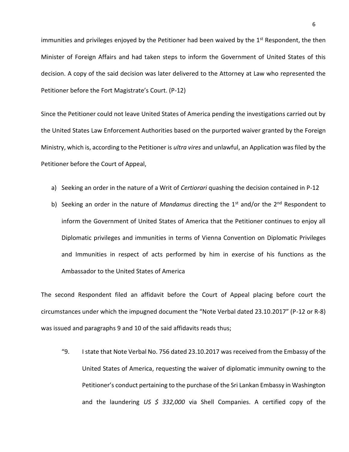immunities and privileges enjoyed by the Petitioner had been waived by the  $1<sup>st</sup>$  Respondent, the then Minister of Foreign Affairs and had taken steps to inform the Government of United States of this decision. A copy of the said decision was later delivered to the Attorney at Law who represented the Petitioner before the Fort Magistrate's Court. (P-12)

Since the Petitioner could not leave United States of America pending the investigations carried out by the United States Law Enforcement Authorities based on the purported waiver granted by the Foreign Ministry, which is, according to the Petitioner is *ultra vires* and unlawful, an Application was filed by the Petitioner before the Court of Appeal,

- a) Seeking an order in the nature of a Writ of *Certiorari* quashing the decision contained in P-12
- b) Seeking an order in the nature of *Mandamus* directing the 1<sup>st</sup> and/or the 2<sup>nd</sup> Respondent to inform the Government of United States of America that the Petitioner continues to enjoy all Diplomatic privileges and immunities in terms of Vienna Convention on Diplomatic Privileges and Immunities in respect of acts performed by him in exercise of his functions as the Ambassador to the United States of America

The second Respondent filed an affidavit before the Court of Appeal placing before court the circumstances under which the impugned document the "Note Verbal dated 23.10.2017" (P-12 or R-8) was issued and paragraphs 9 and 10 of the said affidavits reads thus;

"9. I state that Note Verbal No. 756 dated 23.10.2017 was received from the Embassy of the United States of America, requesting the waiver of diplomatic immunity owning to the Petitioner's conduct pertaining to the purchase of the Sri Lankan Embassy in Washington and the laundering *US \$ 332,000* via Shell Companies. A certified copy of the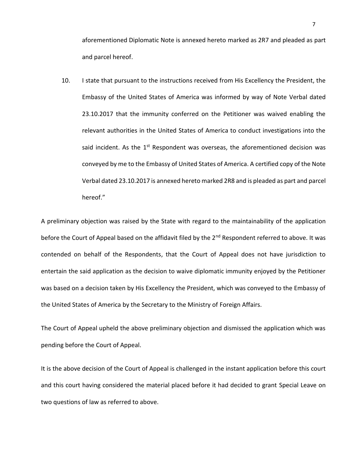aforementioned Diplomatic Note is annexed hereto marked as 2R7 and pleaded as part and parcel hereof.

10. I state that pursuant to the instructions received from His Excellency the President, the Embassy of the United States of America was informed by way of Note Verbal dated 23.10.2017 that the immunity conferred on the Petitioner was waived enabling the relevant authorities in the United States of America to conduct investigations into the said incident. As the  $1<sup>st</sup>$  Respondent was overseas, the aforementioned decision was conveyed by me to the Embassy of United States of America. A certified copy of the Note Verbal dated 23.10.2017 is annexed hereto marked 2R8 and is pleaded as part and parcel hereof."

A preliminary objection was raised by the State with regard to the maintainability of the application before the Court of Appeal based on the affidavit filed by the 2<sup>nd</sup> Respondent referred to above. It was contended on behalf of the Respondents, that the Court of Appeal does not have jurisdiction to entertain the said application as the decision to waive diplomatic immunity enjoyed by the Petitioner was based on a decision taken by His Excellency the President, which was conveyed to the Embassy of the United States of America by the Secretary to the Ministry of Foreign Affairs.

The Court of Appeal upheld the above preliminary objection and dismissed the application which was pending before the Court of Appeal.

It is the above decision of the Court of Appeal is challenged in the instant application before this court and this court having considered the material placed before it had decided to grant Special Leave on two questions of law as referred to above.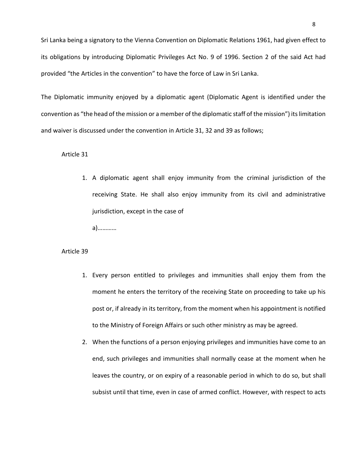Sri Lanka being a signatory to the Vienna Convention on Diplomatic Relations 1961, had given effect to its obligations by introducing Diplomatic Privileges Act No. 9 of 1996. Section 2 of the said Act had provided "the Articles in the convention" to have the force of Law in Sri Lanka.

The Diplomatic immunity enjoyed by a diplomatic agent (Diplomatic Agent is identified under the convention as "the head of the mission or a member of the diplomatic staff of the mission") its limitation and waiver is discussed under the convention in Article 31, 32 and 39 as follows;

#### Article 31

1. A diplomatic agent shall enjoy immunity from the criminal jurisdiction of the receiving State. He shall also enjoy immunity from its civil and administrative jurisdiction, except in the case of

a)…………

#### Article 39

- 1. Every person entitled to privileges and immunities shall enjoy them from the moment he enters the territory of the receiving State on proceeding to take up his post or, if already in its territory, from the moment when his appointment is notified to the Ministry of Foreign Affairs or such other ministry as may be agreed.
- 2. When the functions of a person enjoying privileges and immunities have come to an end, such privileges and immunities shall normally cease at the moment when he leaves the country, or on expiry of a reasonable period in which to do so, but shall subsist until that time, even in case of armed conflict. However, with respect to acts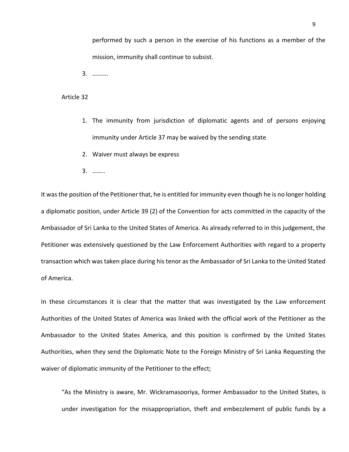performed by such a person in the exercise of his functions as a member of the mission, immunity shall continue to subsist.

3. ……….

#### Article 32

- 1. The immunity from jurisdiction of diplomatic agents and of persons enjoying immunity under Article 37 may be waived by the sending state
- 2. Waiver must always be express
- 3. ……..

It was the position of the Petitioner that, he is entitled for immunity even though he is no longer holding a diplomatic position, under Article 39 (2) of the Convention for acts committed in the capacity of the Ambassador of Sri Lanka to the United States of America. As already referred to in this judgement, the Petitioner was extensively questioned by the Law Enforcement Authorities with regard to a property transaction which was taken place during his tenor as the Ambassador of Sri Lanka to the United Stated of America.

In these circumstances it is clear that the matter that was investigated by the Law enforcement Authorities of the United States of America was linked with the official work of the Petitioner as the Ambassador to the United States America, and this position is confirmed by the United States Authorities, when they send the Diplomatic Note to the Foreign Ministry of Sri Lanka Requesting the waiver of diplomatic immunity of the Petitioner to the effect;

"As the Ministry is aware, Mr. Wickramasooriya, former Ambassador to the United States, is under investigation for the misappropriation, theft and embezzlement of public funds by a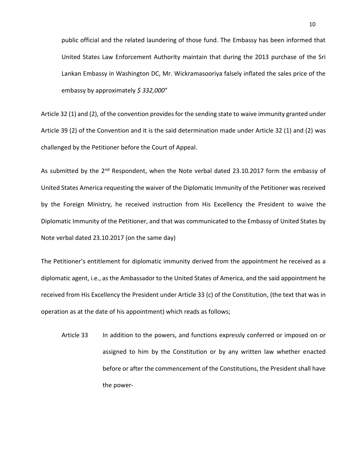public official and the related laundering of those fund. The Embassy has been informed that United States Law Enforcement Authority maintain that during the 2013 purchase of the Sri Lankan Embassy in Washington DC, Mr. Wickramasooriya falsely inflated the sales price of the embassy by approximately *\$ 332,000*"

Article 32 (1) and (2), of the convention provides for the sending state to waive immunity granted under Article 39 (2) of the Convention and it is the said determination made under Article 32 (1) and (2) was challenged by the Petitioner before the Court of Appeal.

As submitted by the 2<sup>nd</sup> Respondent, when the Note verbal dated 23.10.2017 form the embassy of United States America requesting the waiver of the Diplomatic Immunity of the Petitioner was received by the Foreign Ministry, he received instruction from His Excellency the President to waive the Diplomatic Immunity of the Petitioner, and that was communicated to the Embassy of United States by Note verbal dated 23.10.2017 (on the same day)

The Petitioner's entitlement for diplomatic immunity derived from the appointment he received as a diplomatic agent, i.e., as the Ambassador to the United States of America, and the said appointment he received from His Excellency the President under Article 33 (c) of the Constitution, (the text that was in operation as at the date of his appointment) which reads as follows;

Article 33 In addition to the powers, and functions expressly conferred or imposed on or assigned to him by the Constitution or by any written law whether enacted before or after the commencement of the Constitutions, the President shall have the power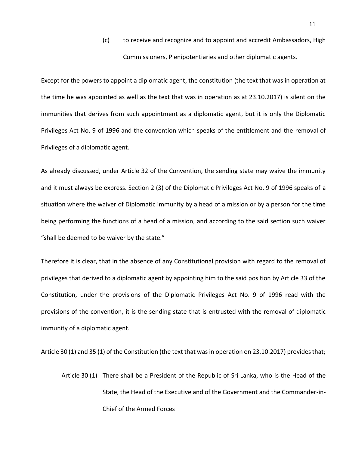(c) to receive and recognize and to appoint and accredit Ambassadors, High Commissioners, Plenipotentiaries and other diplomatic agents.

Except for the powers to appoint a diplomatic agent, the constitution (the text that was in operation at the time he was appointed as well as the text that was in operation as at 23.10.2017) is silent on the immunities that derives from such appointment as a diplomatic agent, but it is only the Diplomatic Privileges Act No. 9 of 1996 and the convention which speaks of the entitlement and the removal of Privileges of a diplomatic agent.

As already discussed, under Article 32 of the Convention, the sending state may waive the immunity and it must always be express. Section 2 (3) of the Diplomatic Privileges Act No. 9 of 1996 speaks of a situation where the waiver of Diplomatic immunity by a head of a mission or by a person for the time being performing the functions of a head of a mission, and according to the said section such waiver "shall be deemed to be waiver by the state."

Therefore it is clear, that in the absence of any Constitutional provision with regard to the removal of privileges that derived to a diplomatic agent by appointing him to the said position by Article 33 of the Constitution, under the provisions of the Diplomatic Privileges Act No. 9 of 1996 read with the provisions of the convention, it is the sending state that is entrusted with the removal of diplomatic immunity of a diplomatic agent.

Article 30 (1) and 35 (1) of the Constitution (the text that was in operation on 23.10.2017) provides that;

Article 30 (1) There shall be a President of the Republic of Sri Lanka, who is the Head of the State, the Head of the Executive and of the Government and the Commander-in-Chief of the Armed Forces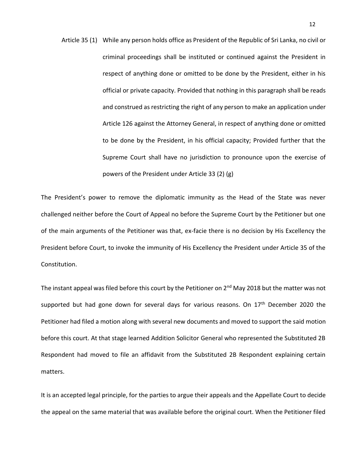Article 35 (1) While any person holds office as President of the Republic of Sri Lanka, no civil or criminal proceedings shall be instituted or continued against the President in respect of anything done or omitted to be done by the President, either in his official or private capacity. Provided that nothing in this paragraph shall be reads and construed as restricting the right of any person to make an application under Article 126 against the Attorney General, in respect of anything done or omitted to be done by the President, in his official capacity; Provided further that the Supreme Court shall have no jurisdiction to pronounce upon the exercise of powers of the President under Article 33 (2) (g)

The President's power to remove the diplomatic immunity as the Head of the State was never challenged neither before the Court of Appeal no before the Supreme Court by the Petitioner but one of the main arguments of the Petitioner was that, ex-facie there is no decision by His Excellency the President before Court, to invoke the immunity of His Excellency the President under Article 35 of the Constitution.

The instant appeal was filed before this court by the Petitioner on  $2^{nd}$  May 2018 but the matter was not supported but had gone down for several days for various reasons. On  $17<sup>th</sup>$  December 2020 the Petitioner had filed a motion along with several new documents and moved to support the said motion before this court. At that stage learned Addition Solicitor General who represented the Substituted 2B Respondent had moved to file an affidavit from the Substituted 2B Respondent explaining certain matters.

It is an accepted legal principle, for the parties to argue their appeals and the Appellate Court to decide the appeal on the same material that was available before the original court. When the Petitioner filed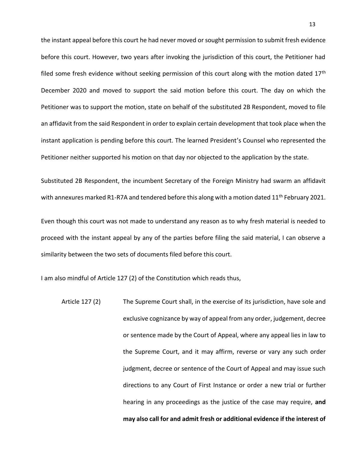the instant appeal before this court he had never moved or sought permission to submit fresh evidence before this court. However, two years after invoking the jurisdiction of this court, the Petitioner had filed some fresh evidence without seeking permission of this court along with the motion dated  $17<sup>th</sup>$ December 2020 and moved to support the said motion before this court. The day on which the Petitioner was to support the motion, state on behalf of the substituted 2B Respondent, moved to file an affidavit from the said Respondent in order to explain certain development that took place when the instant application is pending before this court. The learned President's Counsel who represented the Petitioner neither supported his motion on that day nor objected to the application by the state.

Substituted 2B Respondent, the incumbent Secretary of the Foreign Ministry had swarm an affidavit with annexures marked R1-R7A and tendered before this along with a motion dated 11<sup>th</sup> February 2021.

Even though this court was not made to understand any reason as to why fresh material is needed to proceed with the instant appeal by any of the parties before filing the said material, I can observe a similarity between the two sets of documents filed before this court.

I am also mindful of Article 127 (2) of the Constitution which reads thus,

Article 127 (2) The Supreme Court shall, in the exercise of its jurisdiction, have sole and exclusive cognizance by way of appeal from any order, judgement, decree or sentence made by the Court of Appeal, where any appeal lies in law to the Supreme Court, and it may affirm, reverse or vary any such order judgment, decree or sentence of the Court of Appeal and may issue such directions to any Court of First Instance or order a new trial or further hearing in any proceedings as the justice of the case may require, **and may also call for and admit fresh or additional evidence if the interest of**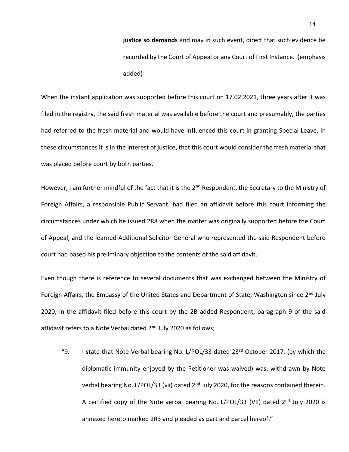**justice so demands** and may in such event, direct that such evidence be recorded by the Court of Appeal or any Court of First Instance. (emphasis added)

When the instant application was supported before this court on 17.02.2021, three years after it was filed in the registry, the said fresh material was available before the court and presumably, the parties had referred to the fresh material and would have influenced this court in granting Special Leave. In these circumstances it is in the interest of justice, that this court would consider the fresh material that was placed before court by both parties.

However, I am further mindful of the fact that it is the 2<sup>nd</sup> Respondent, the Secretary to the Ministry of Foreign Affairs, a responsible Public Servant, had filed an affidavit before this court informing the circumstances under which he issued 2R8 when the matter was originally supported before the Court of Appeal, and the learned Additional Solicitor General who represented the said Respondent before court had based his preliminary objection to the contents of the said affidavit.

Even though there is reference to several documents that was exchanged between the Ministry of Foreign Affairs, the Embassy of the United States and Department of State, Washington since 2<sup>nd</sup> July 2020, in the affidavit filed before this court by the 2B added Respondent, paragraph 9 of the said affidavit refers to a Note Verbal dated 2<sup>nd</sup> July 2020 as follows;

"9. I state that Note Verbal bearing No. L/POL/33 dated  $23<sup>rd</sup>$  October 2017, (by which the diplomatic immunity enjoyed by the Petitioner was waived) was, withdrawn by Note verbal bearing No. L/POL/33 (vii) dated 2<sup>nd</sup> July 2020, for the reasons contained therein. A certified copy of the Note verbal bearing No. L/POL/33 (VII) dated 2<sup>nd</sup> July 2020 is annexed hereto marked 2R3 and pleaded as part and parcel hereof."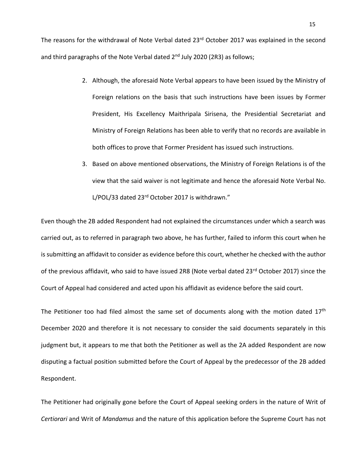The reasons for the withdrawal of Note Verbal dated 23<sup>rd</sup> October 2017 was explained in the second and third paragraphs of the Note Verbal dated 2<sup>nd</sup> July 2020 (2R3) as follows;

- 2. Although, the aforesaid Note Verbal appears to have been issued by the Ministry of Foreign relations on the basis that such instructions have been issues by Former President, His Excellency Maithripala Sirisena, the Presidential Secretariat and Ministry of Foreign Relations has been able to verify that no records are available in both offices to prove that Former President has issued such instructions.
- 3. Based on above mentioned observations, the Ministry of Foreign Relations is of the view that the said waiver is not legitimate and hence the aforesaid Note Verbal No. L/POL/33 dated 23rd October 2017 is withdrawn."

Even though the 2B added Respondent had not explained the circumstances under which a search was carried out, as to referred in paragraph two above, he has further, failed to inform this court when he is submitting an affidavit to consider as evidence before this court, whether he checked with the author of the previous affidavit, who said to have issued 2R8 (Note verbal dated 23<sup>rd</sup> October 2017) since the Court of Appeal had considered and acted upon his affidavit as evidence before the said court.

The Petitioner too had filed almost the same set of documents along with the motion dated  $17<sup>th</sup>$ December 2020 and therefore it is not necessary to consider the said documents separately in this judgment but, it appears to me that both the Petitioner as well as the 2A added Respondent are now disputing a factual position submitted before the Court of Appeal by the predecessor of the 2B added Respondent.

The Petitioner had originally gone before the Court of Appeal seeking orders in the nature of Writ of *Certiorari* and Writ of *Mandamus* and the nature of this application before the Supreme Court has not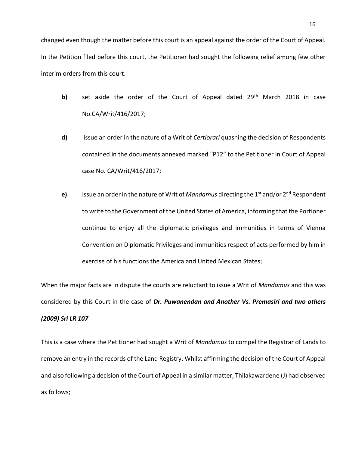changed even though the matter before this court is an appeal against the order of the Court of Appeal. In the Petition filed before this court, the Petitioner had sought the following relief among few other interim orders from this court.

- **b)** set aside the order of the Court of Appeal dated 29<sup>th</sup> March 2018 in case No.CA/Writ/416/2017;
- **d)** issue an order in the nature of a Writ of *Certiorari* quashing the decision of Respondents contained in the documents annexed marked "P12" to the Petitioner in Court of Appeal case No. CA/Writ/416/2017;
- **e)** Issue an order in the nature of Writ of *Mandamus* directing the 1st and/or 2nd Respondent to write to the Government of the United States of America, informing that the Portioner continue to enjoy all the diplomatic privileges and immunities in terms of Vienna Convention on Diplomatic Privileges and immunities respect of acts performed by him in exercise of his functions the America and United Mexican States;

When the major facts are in dispute the courts are reluctant to issue a Writ of *Mandamus* and this was considered by this Court in the case of *Dr. Puwanendan and Another Vs. Premasiri and two others* 

#### *(2009) Sri LR 107*

This is a case where the Petitioner had sought a Writ of *Mandamus* to compel the Registrar of Lands to remove an entry in the records of the Land Registry. Whilst affirming the decision of the Court of Appeal and also following a decision of the Court of Appeal in a similar matter, Thilakawardene (J) had observed as follows;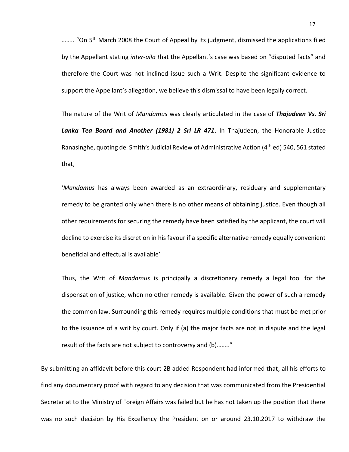........ "On 5<sup>th</sup> March 2008 the Court of Appeal by its judgment, dismissed the applications filed by the Appellant stating *inter-aila t*hat the Appellant's case was based on "disputed facts" and therefore the Court was not inclined issue such a Writ. Despite the significant evidence to support the Appellant's allegation, we believe this dismissal to have been legally correct.

The nature of the Writ of *Mandamus* was clearly articulated in the case of *Thajudeen Vs. Sri Lanka Tea Board and Another (1981) 2 Sri LR 471*. In Thajudeen, the Honorable Justice Ranasinghe, quoting de. Smith's Judicial Review of Administrative Action (4<sup>th</sup> ed) 540, 561 stated that,

'*Mandamus* has always been awarded as an extraordinary, residuary and supplementary remedy to be granted only when there is no other means of obtaining justice. Even though all other requirements for securing the remedy have been satisfied by the applicant, the court will decline to exercise its discretion in his favour if a specific alternative remedy equally convenient beneficial and effectual is available'

Thus, the Writ of *Mandamus* is principally a discretionary remedy a legal tool for the dispensation of justice, when no other remedy is available. Given the power of such a remedy the common law. Surrounding this remedy requires multiple conditions that must be met prior to the issuance of a writ by court. Only if (a) the major facts are not in dispute and the legal result of the facts are not subject to controversy and (b)…….."

By submitting an affidavit before this court 2B added Respondent had informed that, all his efforts to find any documentary proof with regard to any decision that was communicated from the Presidential Secretariat to the Ministry of Foreign Affairs was failed but he has not taken up the position that there was no such decision by His Excellency the President on or around 23.10.2017 to withdraw the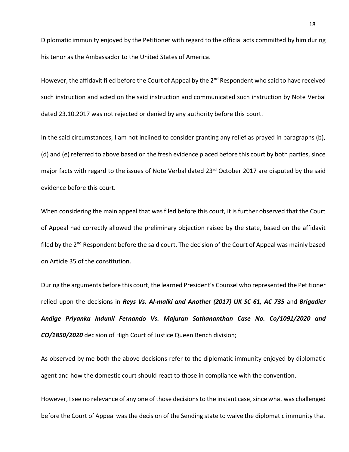Diplomatic immunity enjoyed by the Petitioner with regard to the official acts committed by him during his tenor as the Ambassador to the United States of America.

However, the affidavit filed before the Court of Appeal by the 2<sup>nd</sup> Respondent who said to have received such instruction and acted on the said instruction and communicated such instruction by Note Verbal dated 23.10.2017 was not rejected or denied by any authority before this court.

In the said circumstances, I am not inclined to consider granting any relief as prayed in paragraphs (b), (d) and (e) referred to above based on the fresh evidence placed before this court by both parties, since major facts with regard to the issues of Note Verbal dated 23<sup>rd</sup> October 2017 are disputed by the said evidence before this court.

When considering the main appeal that was filed before this court, it is further observed that the Court of Appeal had correctly allowed the preliminary objection raised by the state, based on the affidavit filed by the 2<sup>nd</sup> Respondent before the said court. The decision of the Court of Appeal was mainly based on Article 35 of the constitution.

During the arguments before this court, the learned President's Counsel who represented the Petitioner relied upon the decisions in *Reys Vs. Al-malki and Another (2017) UK SC 61, AC 735* and *Brigadier Andige Priyanka Indunil Fernando Vs. Majuran Sathananthan Case No. Co/1091/2020 and CO/1850/2020* decision of High Court of Justice Queen Bench division;

As observed by me both the above decisions refer to the diplomatic immunity enjoyed by diplomatic agent and how the domestic court should react to those in compliance with the convention.

However, I see no relevance of any one of those decisions to the instant case, since what was challenged before the Court of Appeal was the decision of the Sending state to waive the diplomatic immunity that